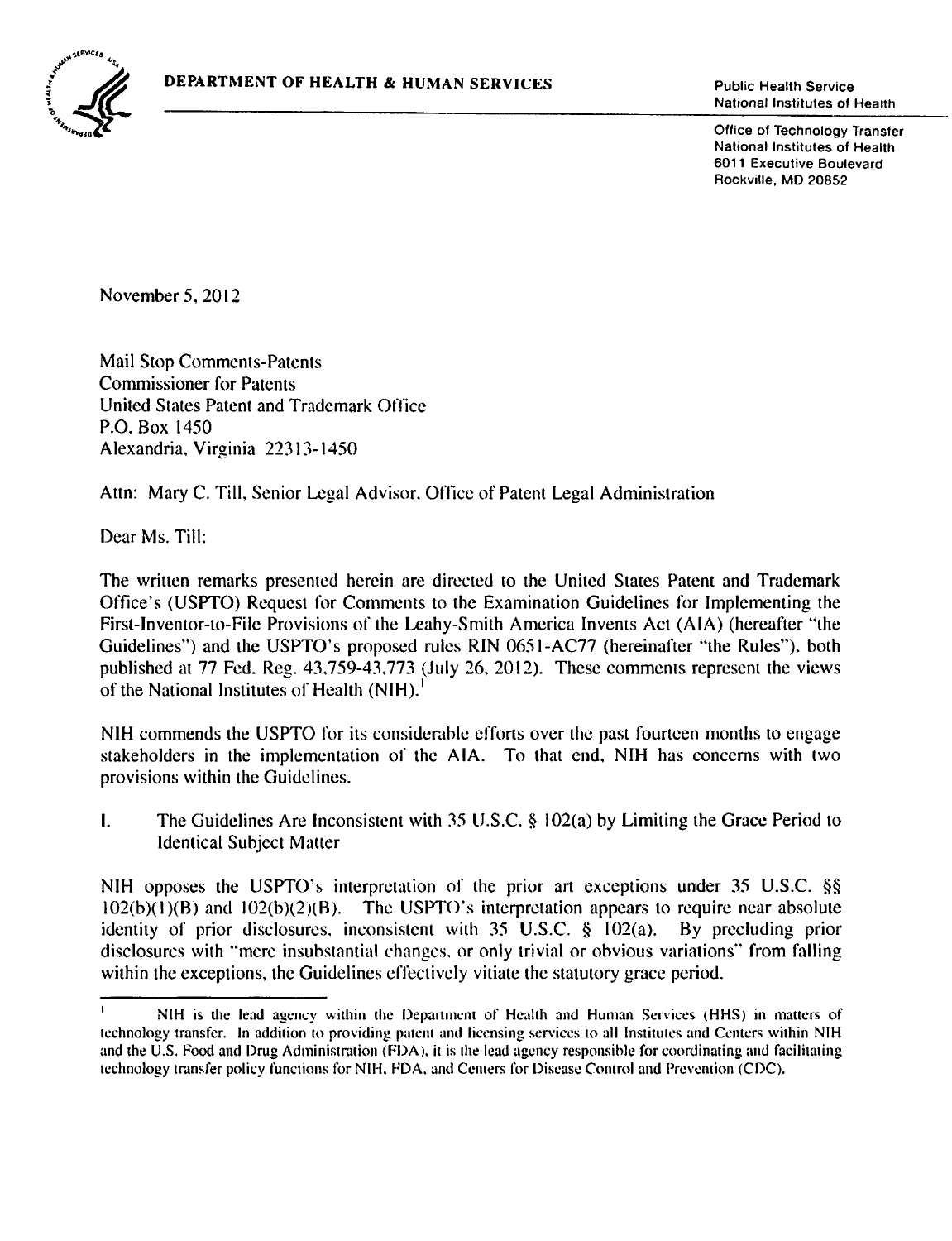

National Institutes of Health

Office of Technology Transfer National Institutes of Health 6011 Executive Boulevard Rockville, MD 20852

November 5, 2012

Mail Stop Comments-Patents Commissioner for Patents United States Patent and Trademark Office P.O. Box 1450 Alexandria, Virginia 22313-1450

Attn: Mary C. Till, Senior Legal Advisor, Office of Patent Legal Administration

Dear Ms. Till:

The written remarks presented herein are directed to the United States Patent and Trademark Office's (USPTO) Request for Comments to the Examination Guidelines for Implementing the First-Inventor-to-File Provisions of the Lcahy-Smith America Invents Act (AlA) (hereafter "the Guidelines") and the USPTO's proposed rules RIN 0651-AC77 (hereinafter "the Rules"), both published at 77 Fed. Reg. 43.759-43.773 (July 26. 2012). These comments represent the views of the National Institutes of Health (NIH).<sup>1</sup>

NIH commends the USPTO for its considerable efforts over the past fourteen months to engage stakeholders in the implementation of the AlA. To that end, NIH has concerns with two provisions within the Guidelines.

I. The Guidelines Are Inconsistent with 35 U.S.C.  $\S$  102(a) by Limiting the Grace Period to Identical Subject Matter

NIH opposes the USPTO's interpretation of the prior art exceptions under 35 U.S.C. §§  $102(b)(1)(B)$  and  $102(b)(2)(B)$ . The USPTO's interpretation appears to require near absolute identity of prior disclosures, inconsistent with 35 U.S.C. § 102(a). By precluding prior disclosures with "mere insubstantial changes. or only trivial or obvious variations'' from falling within the exceptions, the Guidelines effectively vitiate the statutory grace period.

NIH is the lead agency within the Depanment of Health and Human Services (HHS) in mauers of technology transfer. In addition to providing patent and licensing services to all Institutes and Centers within NIH and the U.S. Food and Drug Administration (FDA), it is the lead agency responsible for coordinating and facilitating technology transfer policy functions for NIH. FDA. and Cemers for Disease Comrol and Prevention (CDC).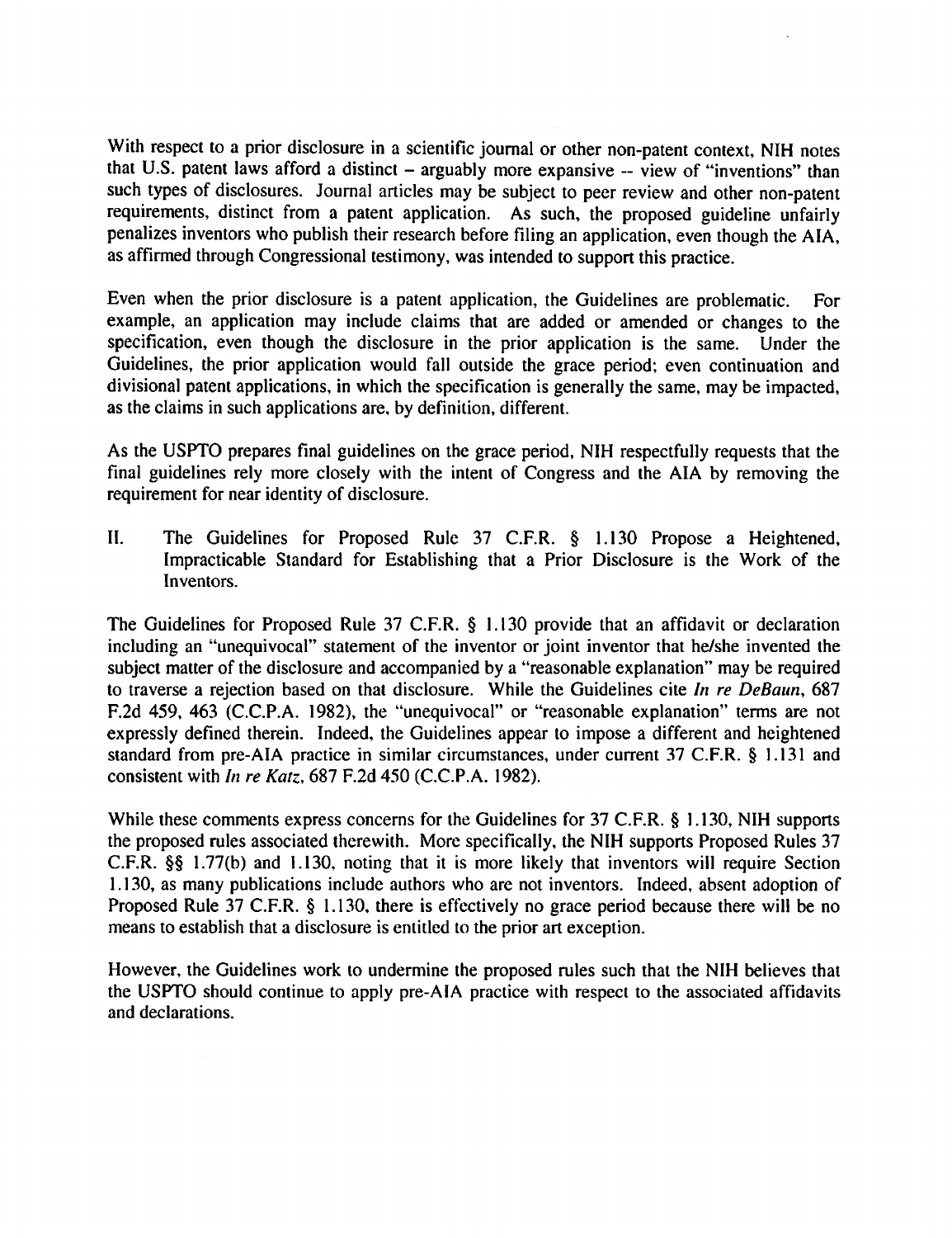With respect to a prior disclosure in a scientific journal or other non-patent context, NIH notes that U.S. patent laws afford a distinct  $-$  arguably more expansive  $-$  view of "inventions" than such types of disclosures. Journal articles may be subject to peer review and other non-patent requirements, distinct from a patent application. As such, the proposed guideline unfairly penalizes inventors who publish their research before filing an application, even though the AlA, as affirmed through Congressional testimony, was intended to support this practice.

Even when the prior disclosure is a patent application, the Guidelines are problematic. For example, an application may include claims that are added or amended or changes to the specification, even though the disclosure in the prior application is the same. Under the Guidelines, the prior application would fall outside the grace period; even continuation and divisional patent applications, in which the specification is generally the same, may be impacted, as the claims in such applications are, by definition, different.

As the USPTO prepares final guidelines on the grace period, NIH respectfully requests that the final guidelines rely more closely with the intent of Congress and the AlA by removing the requirement for near identity of disclosure.

II. The Guidelines for Proposed Rule 37 C.F.R. § 1.130 Propose a Heightened, Impracticable Standard for Establishing that a Prior Disclosure is the Work of the Inventors.

The Guidelines for Proposed Rule 37 C.F.R. § 1.130 provide that an affidavit or declaration including an "unequivocal" statement of the inventor or joint inventor that he/she invented the subject matter of the disclosure and accompanied by a "reasonable explanation" may be required to traverse a rejection based on that disclosure. While the Guidelines cite *In re DeBaun,* 687 F.2d 459, 463 (C.C.P.A. 1982), the "unequivocal" or "reasonable explanation" terms are not expressly defined therein. Indeed, the Guidelines appear to impose a different and heightened standard from pre-AlA practice in similar circumstances, under current 37 C.F.R. § 1.131 and consistent with *In re Katz,* 687 F.2d 450 (C.C.P.A. 1982).

While these comments express concerns for the Guidelines for 37 C.F.R. § 1.130, NIH supports the proposed rules associated therewith. More specifically, the NIH supports Proposed Rules 37 C.F.R. §§ 1.77(b) and 1.130, noting that it is more likely that inventors will require Section 1.130, as many publications include authors who are not inventors. Indeed, absent adoption of Proposed Rule 37 C.F.R. § 1.130, there is effectively no grace period because there will be no means to establish that a disclosure is entitled to the prior art exception.

However, the Guidelines work to undermine the proposed rules such that the NIH believes that the USPTO should continue to apply pre-AlA practice with respect to the associated affidavits and declarations.